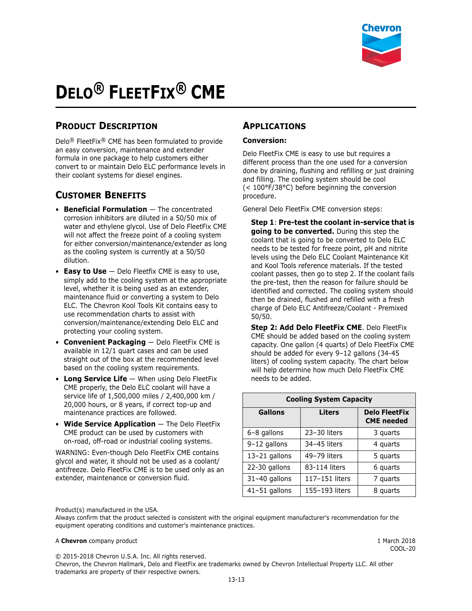

# **DELO® FLEETFIX® CME**

# **PRODUCT DESCRIPTION**

Delo® FleetFix® CME has been formulated to provide an easy conversion, maintenance and extender formula in one package to help customers either convert to or maintain Delo ELC performance levels in their coolant systems for diesel engines.

## **CUSTOMER BENEFITS**

- **Beneficial Formulation** The concentrated corrosion inhibitors are diluted in a 50/50 mix of water and ethylene glycol. Use of Delo FleetFix CME will not affect the freeze point of a cooling system for either conversion/maintenance/extender as long as the cooling system is currently at a 50/50 dilution.
- **Easy to Use** Delo Fleetfix CME is easy to use, simply add to the cooling system at the appropriate level, whether it is being used as an extender, maintenance fluid or converting a system to Delo ELC. The Chevron Kool Tools Kit contains easy to use recommendation charts to assist with conversion/maintenance/extending Delo ELC and protecting your cooling system.
- **Convenient Packaging** Delo FleetFix CME is available in 12/1 quart cases and can be used straight out of the box at the recommended level based on the cooling system requirements.
- **Long Service Life** When using Delo FleetFix CME properly, the Delo ELC coolant will have a service life of 1,500,000 miles / 2,400,000 km / 20,000 hours, or 8 years, if correct top-up and maintenance practices are followed.
- **Wide Service Application** The Delo FleetFix CME product can be used by customers with on-road, off-road or industrial cooling systems.

WARNING: Even-though Delo FleetFix CME contains glycol and water, it should not be used as a coolant/ antifreeze. Delo FleetFix CME is to be used only as an extender, maintenance or conversion fluid.

## **APPLICATIONS**

#### **Conversion:**

Delo FleetFix CME is easy to use but requires a different process than the one used for a conversion done by draining, flushing and refilling or just draining and filling. The cooling system should be cool (< 100°F/38°C) before beginning the conversion procedure.

General Delo FleetFix CME conversion steps:

**Step 1**: **Pre-test the coolant in-service that is going to be converted.** During this step the coolant that is going to be converted to Delo ELC needs to be tested for freeze point, pH and nitrite levels using the Delo ELC Coolant Maintenance Kit and Kool Tools reference materials. If the tested coolant passes, then go to step 2. If the coolant fails the pre-test, then the reason for failure should be identified and corrected. The cooling system should then be drained, flushed and refilled with a fresh charge of Delo ELC Antifreeze/Coolant - Premixed 50/50.

**Step 2: Add Delo FleetFix CME**. Delo FleetFix CME should be added based on the cooling system capacity. One gallon (4 quarts) of Delo FleetFix CME should be added for every 9–12 gallons (34-45 liters) of cooling system capacity. The chart below will help determine how much Delo FleetFix CME needs to be added.

| <b>Cooling System Capacity</b> |                |                                           |  |
|--------------------------------|----------------|-------------------------------------------|--|
| <b>Gallons</b>                 | Liters         | <b>Delo FleetFix</b><br><b>CME</b> needed |  |
| 6-8 gallons                    | 23-30 liters   | 3 quarts                                  |  |
| 9-12 gallons                   | 34-45 liters   | 4 quarts                                  |  |
| 13-21 gallons                  | 49-79 liters   | 5 quarts                                  |  |
| 22-30 gallons                  | 83-114 liters  | 6 quarts                                  |  |
| 31-40 gallons                  | 117-151 liters | 7 quarts                                  |  |
| 41-51 gallons                  | 155-193 liters | 8 quarts                                  |  |

Product(s) manufactured in the USA.

Always confirm that the product selected is consistent with the original equipment manufacturer's recommendation for the equipment operating conditions and customer's maintenance practices.

#### A **Chevron** company product **1** March 2018

COOL-20

© 2015-2018 Chevron U.S.A. Inc. All rights reserved.

Chevron, the Chevron Hallmark, Delo and FleetFix are trademarks owned by Chevron Intellectual Property LLC. All other trademarks are property of their respective owners.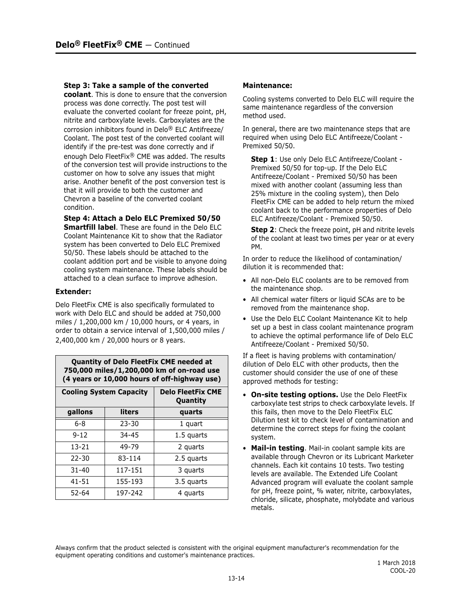#### **Step 3: Take a sample of the converted**

**coolant**. This is done to ensure that the conversion process was done correctly. The post test will evaluate the converted coolant for freeze point, pH, nitrite and carboxylate levels. Carboxylates are the corrosion inhibitors found in Delo® ELC Antifreeze/ Coolant. The post test of the converted coolant will identify if the pre-test was done correctly and if enough Delo FleetFix® CME was added. The results of the conversion test will provide instructions to the customer on how to solve any issues that might arise. Another benefit of the post conversion test is that it will provide to both the customer and Chevron a baseline of the converted coolant condition.

**Step 4: Attach a Delo ELC Premixed 50/50** 

**Smartfill label**. These are found in the Delo ELC Coolant Maintenance Kit to show that the Radiator system has been converted to Delo ELC Premixed 50/50. These labels should be attached to the coolant addition port and be visible to anyone doing cooling system maintenance. These labels should be attached to a clean surface to improve adhesion.

#### **Extender:**

Delo FleetFix CME is also specifically formulated to work with Delo ELC and should be added at 750,000 miles / 1,200,000 km / 10,000 hours, or 4 years, in order to obtain a service interval of 1,500,000 miles / 2,400,000 km / 20,000 hours or 8 years.

**Quantity of Delo FleetFix CME needed at 750,000 miles/1,200,000 km of on-road use (4 years or 10,000 hours of off-highway use)**

| <b>Cooling System Capacity</b> |         | <b>Delo FleetFix CME</b><br>Quantity |
|--------------------------------|---------|--------------------------------------|
| gallons                        | liters  | quarts                               |
| $6 - 8$                        | 23-30   | 1 quart                              |
| $9 - 12$                       | 34-45   | 1.5 quarts                           |
| 13-21                          | 49-79   | 2 quarts                             |
| 22-30                          | 83-114  | 2.5 quarts                           |
| $31 - 40$                      | 117-151 | 3 quarts                             |
| 41-51                          | 155-193 | 3.5 quarts                           |
| 52-64                          | 197-242 | 4 quarts                             |

#### **Maintenance:**

Cooling systems converted to Delo ELC will require the same maintenance regardless of the conversion method used.

In general, there are two maintenance steps that are required when using Delo ELC Antifreeze/Coolant - Premixed 50/50.

**Step 1**: Use only Delo ELC Antifreeze/Coolant - Premixed 50/50 for top-up. If the Delo ELC Antifreeze/Coolant - Premixed 50/50 has been mixed with another coolant (assuming less than 25% mixture in the cooling system), then Delo FleetFix CME can be added to help return the mixed coolant back to the performance properties of Delo ELC Antifreeze/Coolant - Premixed 50/50.

**Step 2**: Check the freeze point, pH and nitrite levels of the coolant at least two times per year or at every PM.

In order to reduce the likelihood of contamination/ dilution it is recommended that:

- All non-Delo ELC coolants are to be removed from the maintenance shop.
- All chemical water filters or liquid SCAs are to be removed from the maintenance shop.
- Use the Delo ELC Coolant Maintenance Kit to help set up a best in class coolant maintenance program to achieve the optimal performance life of Delo ELC Antifreeze/Coolant - Premixed 50/50.

If a fleet is having problems with contamination/ dilution of Delo ELC with other products, then the customer should consider the use of one of these approved methods for testing:

- **On-site testing options.** Use the Delo FleetFix carboxylate test strips to check carboxylate levels. If this fails, then move to the Delo FleetFix ELC Dilution test kit to check level of contamination and determine the correct steps for fixing the coolant system.
- **Mail-in testing**. Mail-in coolant sample kits are available through Chevron or its Lubricant Marketer channels. Each kit contains 10 tests. Two testing levels are available. The Extended Life Coolant Advanced program will evaluate the coolant sample for pH, freeze point, % water, nitrite, carboxylates, chloride, silicate, phosphate, molybdate and various metals.

Always confirm that the product selected is consistent with the original equipment manufacturer's recommendation for the equipment operating conditions and customer's maintenance practices.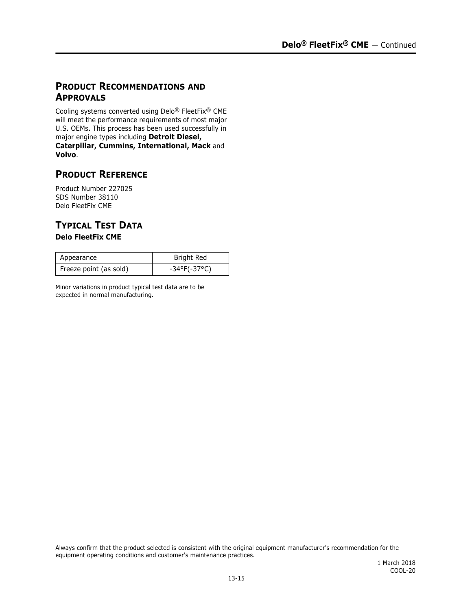## **PRODUCT RECOMMENDATIONS AND APPROVALS**

Cooling systems converted using Delo® FleetFix® CME will meet the performance requirements of most major U.S. OEMs. This process has been used successfully in major engine types including **Detroit Diesel, Caterpillar, Cummins, International, Mack** and **Volvo**.

# **PRODUCT REFERENCE**

Product Number 227025 SDS Number 38110 Delo FleetFix CME

# **TYPICAL TEST DATA**

### **Delo FleetFix CME**

| Appearance             | Bright Red                   |
|------------------------|------------------------------|
| Freeze point (as sold) | $-34^{\circ}F(-37^{\circ}C)$ |

Minor variations in product typical test data are to be expected in normal manufacturing.

Always confirm that the product selected is consistent with the original equipment manufacturer's recommendation for the equipment operating conditions and customer's maintenance practices.